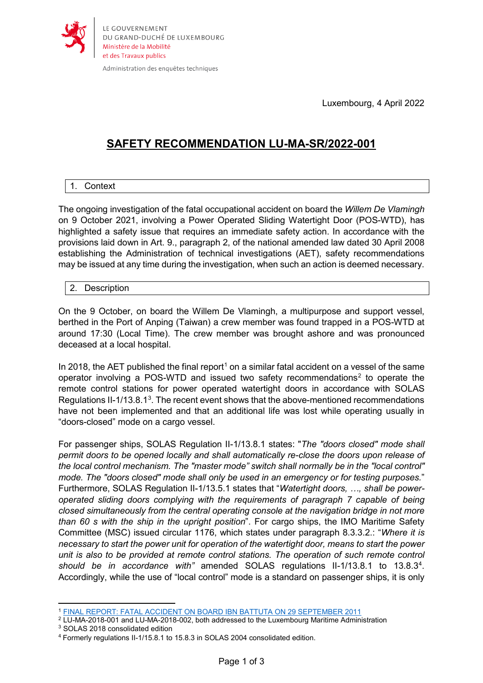

Administration des enquêtes techniques

Luxembourg, 4 April 2022

# **SAFETY RECOMMENDATION LU-MA-SR/2022-001**

## 1. Context

The ongoing investigation of the fatal occupational accident on board the *Willem De Vlamingh* on 9 October 2021, involving a Power Operated Sliding Watertight Door (POS-WTD), has highlighted a safety issue that requires an immediate safety action. In accordance with the provisions laid down in Art. 9., paragraph 2, of the national amended law dated 30 April 2008 establishing the Administration of technical investigations (AET), safety recommendations may be issued at any time during the investigation, when such an action is deemed necessary.

## 2. Description

On the 9 October, on board the Willem De Vlamingh, a multipurpose and support vessel, berthed in the Port of Anping (Taiwan) a crew member was found trapped in a POS-WTD at around 17:30 (Local Time). The crew member was brought ashore and was pronounced deceased at a local hospital.

In 20[1](#page-0-0)8, the AET published the final report<sup>1</sup> on a similar fatal accident on a vessel of the same operator involving a POS-WTD and issued two safety recommendations<sup>[2](#page-0-1)</sup> to operate the remote control stations for power operated watertight doors in accordance with SOLAS Regulations II-1/1[3](#page-0-2).8.1<sup>3</sup>. The recent event shows that the above-mentioned recommendations have not been implemented and that an additional life was lost while operating usually in "doors-closed" mode on a cargo vessel.

For passenger ships, SOLAS Regulation II-1/13.8.1 states: "*The "doors closed" mode shall permit doors to be opened locally and shall automatically re-close the doors upon release of the local control mechanism. The "master mode" switch shall normally be in the "local control" mode. The "doors closed" mode shall only be used in an emergency or for testing purposes.*" Furthermore, SOLAS Regulation II-1/13.5.1 states that "*Watertight doors, …, shall be poweroperated sliding doors complying with the requirements of paragraph 7 capable of being closed simultaneously from the central operating console at the navigation bridge in not more than 60 s with the ship in the upright position*". For cargo ships, the IMO Maritime Safety Committee (MSC) issued circular 1176, which states under paragraph 8.3.3.2.: "*Where it is necessary to start the power unit for operation of the watertight door, means to start the power unit is also to be provided at remote control stations. The operation of such remote control*  should be in accordance with" amended SOLAS regulations II-1/13.8.1 to 13.8.3<sup>4</sup>. Accordingly, while the use of "local control" mode is a standard on passenger ships, it is only

 $\overline{a}$ <sup>1</sup> [FINAL REPORT: FATAL ACCIDENT ON BOARD IBN BATTUTA ON 29 SEPTEMBER 2011](https://aet.gouvernement.lu/dam-assets/l-administration/transports-maritimes/aet-marine-safety-investigation-report-battuta-final.pdf)

<span id="page-0-1"></span><span id="page-0-0"></span><sup>&</sup>lt;sup>2</sup> LU-MA-2018-001 and LU-MA-2018-002, both addressed to the Luxembourg Maritime Administration 3 SOLAS 2018 consolidated edition

<span id="page-0-3"></span><span id="page-0-2"></span><sup>4</sup> Formerly regulations II-1/15.8.1 to 15.8.3 in SOLAS 2004 consolidated edition.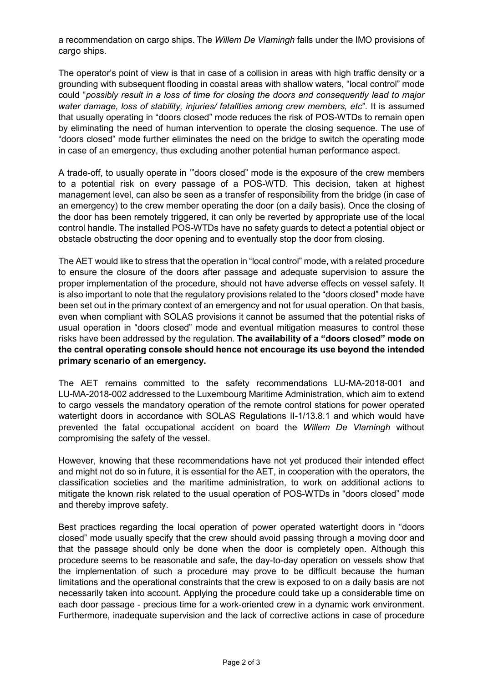a recommendation on cargo ships. The *Willem De Vlamingh* falls under the IMO provisions of cargo ships.

The operator's point of view is that in case of a collision in areas with high traffic density or a grounding with subsequent flooding in coastal areas with shallow waters, "local control" mode could "*possibly result in a loss of time for closing the doors and consequently lead to major water damage, loss of stability, injuries/ fatalities among crew members, etc*"*.* It is assumed that usually operating in "doors closed" mode reduces the risk of POS-WTDs to remain open by eliminating the need of human intervention to operate the closing sequence. The use of "doors closed" mode further eliminates the need on the bridge to switch the operating mode in case of an emergency, thus excluding another potential human performance aspect.

A trade-off, to usually operate in '"doors closed" mode is the exposure of the crew members to a potential risk on every passage of a POS-WTD. This decision, taken at highest management level, can also be seen as a transfer of responsibility from the bridge (in case of an emergency) to the crew member operating the door (on a daily basis). Once the closing of the door has been remotely triggered, it can only be reverted by appropriate use of the local control handle. The installed POS-WTDs have no safety guards to detect a potential object or obstacle obstructing the door opening and to eventually stop the door from closing.

The AET would like to stress that the operation in "local control" mode, with a related procedure to ensure the closure of the doors after passage and adequate supervision to assure the proper implementation of the procedure, should not have adverse effects on vessel safety. It is also important to note that the regulatory provisions related to the "doors closed" mode have been set out in the primary context of an emergency and not for usual operation. On that basis, even when compliant with SOLAS provisions it cannot be assumed that the potential risks of usual operation in "doors closed" mode and eventual mitigation measures to control these risks have been addressed by the regulation. **The availability of a "doors closed" mode on the central operating console should hence not encourage its use beyond the intended primary scenario of an emergency.**

The AET remains committed to the safety recommendations LU-MA-2018-001 and LU-MA-2018-002 addressed to the Luxembourg Maritime Administration, which aim to extend to cargo vessels the mandatory operation of the remote control stations for power operated watertight doors in accordance with SOLAS Regulations II-1/13.8.1 and which would have prevented the fatal occupational accident on board the *Willem De Vlamingh* without compromising the safety of the vessel.

However, knowing that these recommendations have not yet produced their intended effect and might not do so in future, it is essential for the AET, in cooperation with the operators, the classification societies and the maritime administration, to work on additional actions to mitigate the known risk related to the usual operation of POS-WTDs in "doors closed" mode and thereby improve safety.

Best practices regarding the local operation of power operated watertight doors in "doors closed" mode usually specify that the crew should avoid passing through a moving door and that the passage should only be done when the door is completely open. Although this procedure seems to be reasonable and safe, the day-to-day operation on vessels show that the implementation of such a procedure may prove to be difficult because the human limitations and the operational constraints that the crew is exposed to on a daily basis are not necessarily taken into account. Applying the procedure could take up a considerable time on each door passage - precious time for a work-oriented crew in a dynamic work environment. Furthermore, inadequate supervision and the lack of corrective actions in case of procedure